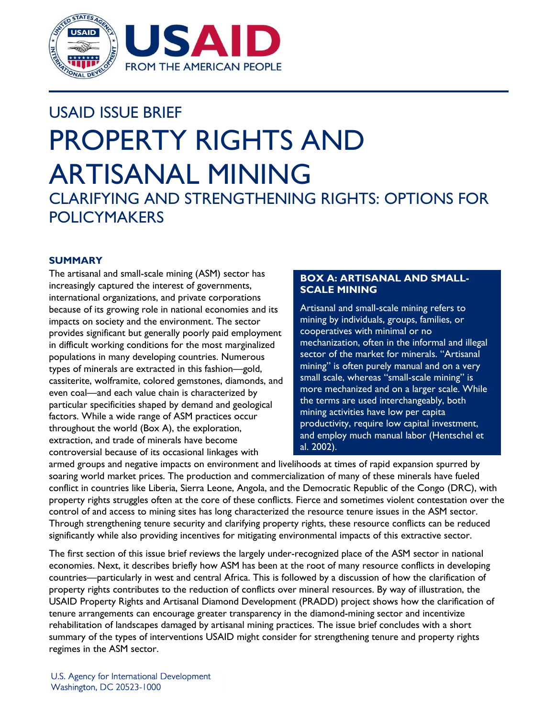

# USAID ISSUE BRIEF PROPERTY RIGHTS AND ARTISANAL MINING

CLARIFYING AND STRENGTHENING RIGHTS: OPTIONS FOR POLICYMAKERS

# **SUMMARY**

The artisanal and small-scale mining (ASM) sector has increasingly captured the interest of governments, international organizations, and private corporations because of its growing role in national economies and its impacts on society and the environment. The sector provides significant but generally poorly paid employment in difficult working conditions for the most marginalized populations in many developing countries. Numerous types of minerals are extracted in this fashion—gold, cassiterite, wolframite, colored gemstones, diamonds, and even coal—and each value chain is characterized by particular specificities shaped by demand and geological factors. While a wide range of ASM practices occur throughout the world (Box A), the exploration, extraction, and trade of minerals have become controversial because of its occasional linkages with

# **BOX A: ARTISANAL AND SMALL-SCALE MINING**

Artisanal and small-scale mining refers to mining by individuals, groups, families, or cooperatives with minimal or no mechanization, often in the informal and illegal sector of the market for minerals. "Artisanal mining" is often purely manual and on a very small scale, whereas "small-scale mining" is more mechanized and on a larger scale. While the terms are used interchangeably, both mining activities have low per capita productivity, require low capital investment, and employ much manual labor (Hentschel et al. 2002).

armed groups and negative impacts on environment and livelihoods at times of rapid expansion spurred by soaring world market prices. The production and commercialization of many of these minerals have fueled conflict in countries like Liberia, Sierra Leone, Angola, and the Democratic Republic of the Congo (DRC), with property rights struggles often at the core of these conflicts. Fierce and sometimes violent contestation over the control of and access to mining sites has long characterized the resource tenure issues in the ASM sector. Through strengthening tenure security and clarifying property rights, these resource conflicts can be reduced significantly while also providing incentives for mitigating environmental impacts of this extractive sector.

The first section of this issue brief reviews the largely under-recognized place of the ASM sector in national economies. Next, it describes briefly how ASM has been at the root of many resource conflicts in developing countries—particularly in west and central Africa. This is followed by a discussion of how the clarification of property rights contributes to the reduction of conflicts over mineral resources. By way of illustration, the USAID Property Rights and Artisanal Diamond Development (PRADD) project shows how the clarification of tenure arrangements can encourage greater transparency in the diamond-mining sector and incentivize rehabilitation of landscapes damaged by artisanal mining practices. The issue brief concludes with a short summary of the types of interventions USAID might consider for strengthening tenure and property rights regimes in the ASM sector.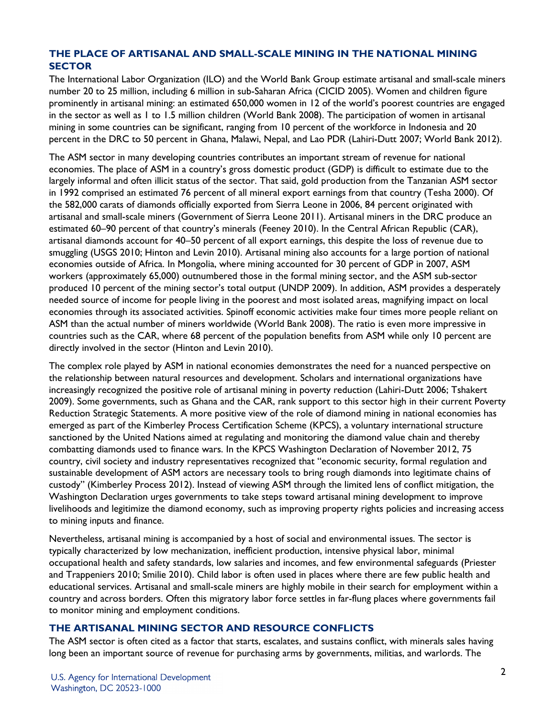# **THE PLACE OF ARTISANAL AND SMALL-SCALE MINING IN THE NATIONAL MINING SECTOR**

The International Labor Organization (ILO) and the World Bank Group estimate artisanal and small-scale miners number 20 to 25 million, including 6 million in sub-Saharan Africa (CICID 2005). Women and children figure prominently in artisanal mining: an estimated 650,000 women in 12 of the world's poorest countries are engaged in the sector as well as 1 to 1.5 million children (World Bank 2008). The participation of women in artisanal mining in some countries can be significant, ranging from 10 percent of the workforce in Indonesia and 20 percent in the DRC to 50 percent in Ghana, Malawi, Nepal, and Lao PDR (Lahiri-Dutt 2007; World Bank 2012).

The ASM sector in many developing countries contributes an important stream of revenue for national economies. The place of ASM in a country's gross domestic product (GDP) is difficult to estimate due to the largely informal and often illicit status of the sector. That said, gold production from the Tanzanian ASM sector in 1992 comprised an estimated 76 percent of all mineral export earnings from that country (Tesha 2000). Of the 582,000 carats of diamonds officially exported from Sierra Leone in 2006, 84 percent originated with artisanal and small-scale miners (Government of Sierra Leone 2011). Artisanal miners in the DRC produce an estimated 60–90 percent of that country's minerals (Feeney 2010). In the Central African Republic (CAR), artisanal diamonds account for 40–50 percent of all export earnings, this despite the loss of revenue due to smuggling (USGS 2010; Hinton and Levin 2010). Artisanal mining also accounts for a large portion of national economies outside of Africa. In Mongolia, where mining accounted for 30 percent of GDP in 2007, ASM workers (approximately 65,000) outnumbered those in the formal mining sector, and the ASM sub-sector produced 10 percent of the mining sector's total output (UNDP 2009). In addition, ASM provides a desperately needed source of income for people living in the poorest and most isolated areas, magnifying impact on local economies through its associated activities. Spinoff economic activities make four times more people reliant on ASM than the actual number of miners worldwide (World Bank 2008). The ratio is even more impressive in countries such as the CAR, where 68 percent of the population benefits from ASM while only 10 percent are directly involved in the sector (Hinton and Levin 2010).

The complex role played by ASM in national economies demonstrates the need for a nuanced perspective on the relationship between natural resources and development. Scholars and international organizations have increasingly recognized the positive role of artisanal mining in poverty reduction (Lahiri-Dutt 2006; Tshakert 2009). Some governments, such as Ghana and the CAR, rank support to this sector high in their current Poverty Reduction Strategic Statements. A more positive view of the role of diamond mining in national economies has emerged as part of the Kimberley Process Certification Scheme (KPCS), a voluntary international structure sanctioned by the United Nations aimed at regulating and monitoring the diamond value chain and thereby combatting diamonds used to finance wars. In the KPCS Washington Declaration of November 2012, 75 country, civil society and industry representatives recognized that "economic security, formal regulation and sustainable development of ASM actors are necessary tools to bring rough diamonds into legitimate chains of custody" (Kimberley Process 2012). Instead of viewing ASM through the limited lens of conflict mitigation, the Washington Declaration urges governments to take steps toward artisanal mining development to improve livelihoods and legitimize the diamond economy, such as improving property rights policies and increasing access to mining inputs and finance.

Nevertheless, artisanal mining is accompanied by a host of social and environmental issues. The sector is typically characterized by low mechanization, inefficient production, intensive physical labor, minimal occupational health and safety standards, low salaries and incomes, and few environmental safeguards (Priester and Trappeniers 2010; Smilie 2010). Child labor is often used in places where there are few public health and educational services. Artisanal and small-scale miners are highly mobile in their search for employment within a country and across borders. Often this migratory labor force settles in far-flung places where governments fail to monitor mining and employment conditions.

# **THE ARTISANAL MINING SECTOR AND RESOURCE CONFLICTS**

The ASM sector is often cited as a factor that starts, escalates, and sustains conflict, with minerals sales having long been an important source of revenue for purchasing arms by governments, militias, and warlords. The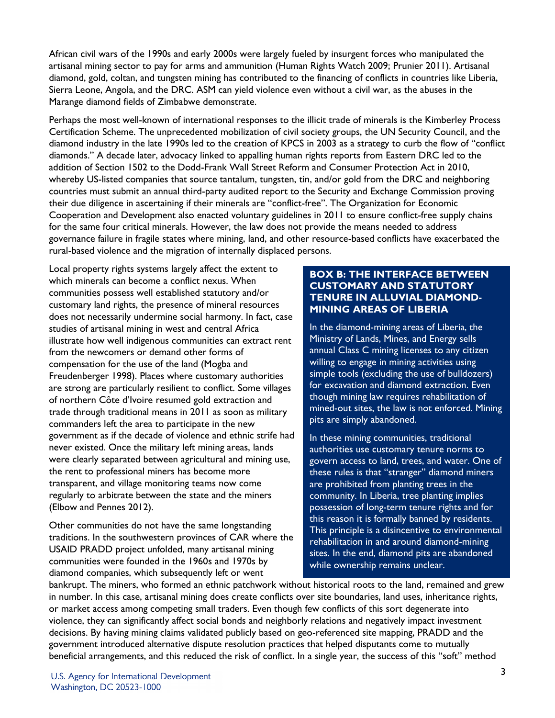African civil wars of the 1990s and early 2000s were largely fueled by insurgent forces who manipulated the artisanal mining sector to pay for arms and ammunition (Human Rights Watch 2009; Prunier 2011). Artisanal diamond, gold, coltan, and tungsten mining has contributed to the financing of conflicts in countries like Liberia, Sierra Leone, Angola, and the DRC. ASM can yield violence even without a civil war, as the abuses in the Marange diamond fields of Zimbabwe demonstrate.

Perhaps the most well-known of international responses to the illicit trade of minerals is the Kimberley Process Certification Scheme. The unprecedented mobilization of civil society groups, the UN Security Council, and the diamond industry in the late 1990s led to the creation of KPCS in 2003 as a strategy to curb the flow of "conflict diamonds." A decade later, advocacy linked to appalling human rights reports from Eastern DRC led to the addition of Section 1502 to the Dodd-Frank Wall Street Reform and Consumer Protection Act in 2010, whereby US-listed companies that source tantalum, tungsten, tin, and/or gold from the DRC and neighboring countries must submit an annual third-party audited report to the Security and Exchange Commission proving their due diligence in ascertaining if their minerals are "conflict-free". The Organization for Economic Cooperation and Development also enacted voluntary guidelines in 2011 to ensure conflict-free supply chains for the same four critical minerals. However, the law does not provide the means needed to address governance failure in fragile states where mining, land, and other resource-based conflicts have exacerbated the rural-based violence and the migration of internally displaced persons.

Local property rights systems largely affect the extent to which minerals can become a conflict nexus. When communities possess well established statutory and/or customary land rights, the presence of mineral resources does not necessarily undermine social harmony. In fact, case studies of artisanal mining in west and central Africa illustrate how well indigenous communities can extract rent from the newcomers or demand other forms of compensation for the use of the land (Mogba and Freudenberger 1998). Places where customary authorities are strong are particularly resilient to conflict. Some villages of northern Côte d'Ivoire resumed gold extraction and trade through traditional means in 2011 as soon as military commanders left the area to participate in the new government as if the decade of violence and ethnic strife had never existed. Once the military left mining areas, lands were clearly separated between agricultural and mining use, the rent to professional miners has become more transparent, and village monitoring teams now come regularly to arbitrate between the state and the miners (Elbow and Pennes 2012).

Other communities do not have the same longstanding traditions. In the southwestern provinces of CAR where the USAID PRADD project unfolded, many artisanal mining communities were founded in the 1960s and 1970s by diamond companies, which subsequently left or went

# **BOX B: THE INTERFACE BETWEEN CUSTOMARY AND STATUTORY TENURE IN ALLUVIAL DIAMOND-MINING AREAS OF LIBERIA**

In the diamond-mining areas of Liberia, the Ministry of Lands, Mines, and Energy sells annual Class C mining licenses to any citizen willing to engage in mining activities using simple tools (excluding the use of bulldozers) for excavation and diamond extraction. Even though mining law requires rehabilitation of mined-out sites, the law is not enforced. Mining pits are simply abandoned.

In these mining communities, traditional authorities use customary tenure norms to govern access to land, trees, and water. One of these rules is that "stranger" diamond miners are prohibited from planting trees in the community. In Liberia, tree planting implies possession of long-term tenure rights and for this reason it is formally banned by residents. This principle is a disincentive to environmental rehabilitation in and around diamond-mining sites. In the end, diamond pits are abandoned while ownership remains unclear.

bankrupt. The miners, who formed an ethnic patchwork without historical roots to the land, remained and grew in number. In this case, artisanal mining does create conflicts over site boundaries, land uses, inheritance rights, or market access among competing small traders. Even though few conflicts of this sort degenerate into violence, they can significantly affect social bonds and neighborly relations and negatively impact investment decisions. By having mining claims validated publicly based on geo-referenced site mapping, PRADD and the government introduced alternative dispute resolution practices that helped disputants come to mutually beneficial arrangements, and this reduced the risk of conflict. In a single year, the success of this "soft" method

U.S. Agency for International Development Washington, DC 20523-1000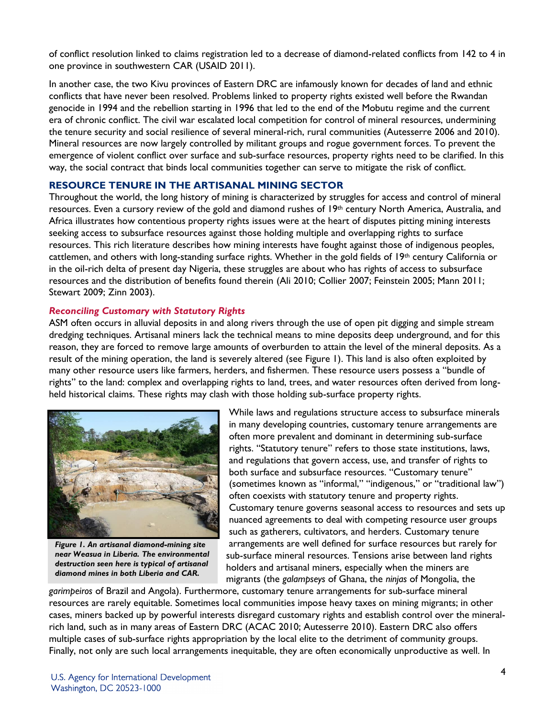of conflict resolution linked to claims registration led to a decrease of diamond-related conflicts from 142 to 4 in one province in southwestern CAR (USAID 2011).

In another case, the two Kivu provinces of Eastern DRC are infamously known for decades of land and ethnic conflicts that have never been resolved. Problems linked to property rights existed well before the Rwandan genocide in 1994 and the rebellion starting in 1996 that led to the end of the Mobutu regime and the current era of chronic conflict. The civil war escalated local competition for control of mineral resources, undermining the tenure security and social resilience of several mineral-rich, rural communities (Autesserre 2006 and 2010). Mineral resources are now largely controlled by militant groups and rogue government forces. To prevent the emergence of violent conflict over surface and sub-surface resources, property rights need to be clarified. In this way, the social contract that binds local communities together can serve to mitigate the risk of conflict.

#### **RESOURCE TENURE IN THE ARTISANAL MINING SECTOR**

Throughout the world, the long history of mining is characterized by struggles for access and control of mineral resources. Even a cursory review of the gold and diamond rushes of 19th century North America, Australia, and Africa illustrates how contentious property rights issues were at the heart of disputes pitting mining interests seeking access to subsurface resources against those holding multiple and overlapping rights to surface resources. This rich literature describes how mining interests have fought against those of indigenous peoples, cattlemen, and others with long-standing surface rights. Whether in the gold fields of 19th century California or in the oil-rich delta of present day Nigeria, these struggles are about who has rights of access to subsurface resources and the distribution of benefits found therein (Ali 2010; Collier 2007; Feinstein 2005; Mann 2011; Stewart 2009; Zinn 2003).

## *Reconciling Customary with Statutory Rights*

ASM often occurs in alluvial deposits in and along rivers through the use of open pit digging and simple stream dredging techniques. Artisanal miners lack the technical means to mine deposits deep underground, and for this reason, they are forced to remove large amounts of overburden to attain the level of the mineral deposits. As a result of the mining operation, the land is severely altered (see Figure 1). This land is also often exploited by many other resource users like farmers, herders, and fishermen. These resource users possess a "bundle of rights" to the land: complex and overlapping rights to land, trees, and water resources often derived from longheld historical claims. These rights may clash with those holding sub-surface property rights.



*Figure 1. An artisanal diamond-mining site near Weasua in Liberia. The environmental destruction seen here is typical of artisanal diamond mines in both Liberia and CAR.*

While laws and regulations structure access to subsurface minerals in many developing countries, customary tenure arrangements are often more prevalent and dominant in determining sub-surface rights. "Statutory tenure" refers to those state institutions, laws, and regulations that govern access, use, and transfer of rights to both surface and subsurface resources. "Customary tenure" (sometimes known as "informal," "indigenous," or "traditional law") often coexists with statutory tenure and property rights. Customary tenure governs seasonal access to resources and sets up nuanced agreements to deal with competing resource user groups such as gatherers, cultivators, and herders. Customary tenure arrangements are well defined for surface resources but rarely for sub-surface mineral resources. Tensions arise between land rights holders and artisanal miners, especially when the miners are migrants (the *galampseys* of Ghana, the *ninjas* of Mongolia, the

*garimpeiros* of Brazil and Angola). Furthermore, customary tenure arrangements for sub-surface mineral resources are rarely equitable. Sometimes local communities impose heavy taxes on mining migrants; in other cases, miners backed up by powerful interests disregard customary rights and establish control over the mineralrich land, such as in many areas of Eastern DRC (ACAC 2010; Autesserre 2010). Eastern DRC also offers multiple cases of sub-surface rights appropriation by the local elite to the detriment of community groups. Finally, not only are such local arrangements inequitable, they are often economically unproductive as well. In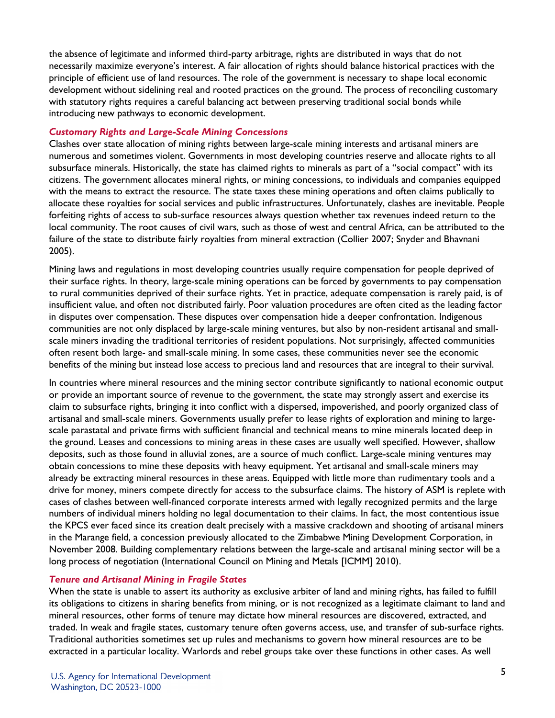the absence of legitimate and informed third-party arbitrage, rights are distributed in ways that do not necessarily maximize everyone's interest. A fair allocation of rights should balance historical practices with the principle of efficient use of land resources. The role of the government is necessary to shape local economic development without sidelining real and rooted practices on the ground. The process of reconciling customary with statutory rights requires a careful balancing act between preserving traditional social bonds while introducing new pathways to economic development.

## *Customary Rights and Large-Scale Mining Concessions*

Clashes over state allocation of mining rights between large-scale mining interests and artisanal miners are numerous and sometimes violent. Governments in most developing countries reserve and allocate rights to all subsurface minerals. Historically, the state has claimed rights to minerals as part of a "social compact" with its citizens. The government allocates mineral rights, or mining concessions, to individuals and companies equipped with the means to extract the resource. The state taxes these mining operations and often claims publically to allocate these royalties for social services and public infrastructures. Unfortunately, clashes are inevitable. People forfeiting rights of access to sub-surface resources always question whether tax revenues indeed return to the local community. The root causes of civil wars, such as those of west and central Africa, can be attributed to the failure of the state to distribute fairly royalties from mineral extraction (Collier 2007; Snyder and Bhavnani 2005).

Mining laws and regulations in most developing countries usually require compensation for people deprived of their surface rights. In theory, large-scale mining operations can be forced by governments to pay compensation to rural communities deprived of their surface rights. Yet in practice, adequate compensation is rarely paid, is of insufficient value, and often not distributed fairly. Poor valuation procedures are often cited as the leading factor in disputes over compensation. These disputes over compensation hide a deeper confrontation. Indigenous communities are not only displaced by large-scale mining ventures, but also by non-resident artisanal and smallscale miners invading the traditional territories of resident populations. Not surprisingly, affected communities often resent both large- and small-scale mining. In some cases, these communities never see the economic benefits of the mining but instead lose access to precious land and resources that are integral to their survival.

In countries where mineral resources and the mining sector contribute significantly to national economic output or provide an important source of revenue to the government, the state may strongly assert and exercise its claim to subsurface rights, bringing it into conflict with a dispersed, impoverished, and poorly organized class of artisanal and small-scale miners. Governments usually prefer to lease rights of exploration and mining to largescale parastatal and private firms with sufficient financial and technical means to mine minerals located deep in the ground. Leases and concessions to mining areas in these cases are usually well specified. However, shallow deposits, such as those found in alluvial zones, are a source of much conflict. Large-scale mining ventures may obtain concessions to mine these deposits with heavy equipment. Yet artisanal and small-scale miners may already be extracting mineral resources in these areas. Equipped with little more than rudimentary tools and a drive for money, miners compete directly for access to the subsurface claims. The history of ASM is replete with cases of clashes between well-financed corporate interests armed with legally recognized permits and the large numbers of individual miners holding no legal documentation to their claims. In fact, the most contentious issue the KPCS ever faced since its creation dealt precisely with a massive crackdown and shooting of artisanal miners in the Marange field, a concession previously allocated to the Zimbabwe Mining Development Corporation, in November 2008. Building complementary relations between the large-scale and artisanal mining sector will be a long process of negotiation (International Council on Mining and Metals [ICMM] 2010).

# *Tenure and Artisanal Mining in Fragile States*

When the state is unable to assert its authority as exclusive arbiter of land and mining rights, has failed to fulfill its obligations to citizens in sharing benefits from mining, or is not recognized as a legitimate claimant to land and mineral resources, other forms of tenure may dictate how mineral resources are discovered, extracted, and traded. In weak and fragile states, customary tenure often governs access, use, and transfer of sub-surface rights. Traditional authorities sometimes set up rules and mechanisms to govern how mineral resources are to be extracted in a particular locality. Warlords and rebel groups take over these functions in other cases. As well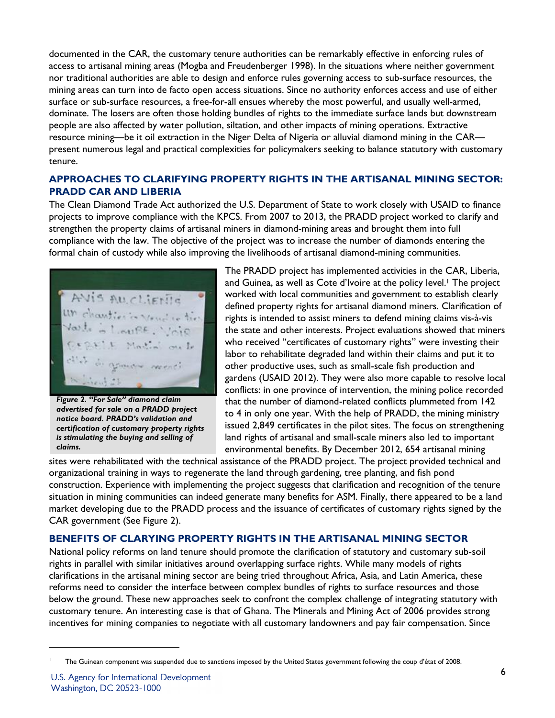documented in the CAR, the customary tenure authorities can be remarkably effective in enforcing rules of access to artisanal mining areas (Mogba and Freudenberger 1998). In the situations where neither government nor traditional authorities are able to design and enforce rules governing access to sub-surface resources, the mining areas can turn into de facto open access situations. Since no authority enforces access and use of either surface or sub-surface resources, a free-for-all ensues whereby the most powerful, and usually well-armed, dominate. The losers are often those holding bundles of rights to the immediate surface lands but downstream people are also affected by water pollution, siltation, and other impacts of mining operations. Extractive resource mining—be it oil extraction in the Niger Delta of Nigeria or alluvial diamond mining in the CAR present numerous legal and practical complexities for policymakers seeking to balance statutory with customary tenure.

# **APPROACHES TO CLARIFYING PROPERTY RIGHTS IN THE ARTISANAL MINING SECTOR: PRADD CAR AND LIBERIA**

The Clean Diamond Trade Act authorized the U.S. Department of State to work closely with USAID to finance projects to improve compliance with the KPCS. From 2007 to 2013, the PRADD project worked to clarify and strengthen the property claims of artisanal miners in diamond-mining areas and brought them into full compliance with the law. The objective of the project was to increase the number of diamonds entering the formal chain of custody while also improving the livelihoods of artisanal diamond-mining communities.

AVIS AUCLIENIE

*Figure 2. "For Sale" diamond claim advertised for sale on a PRADD project notice board. PRADD's validation and certification of customary property rights is stimulating the buying and selling of claims.*

The PRADD project has implemented activities in the CAR, Liberia, and Guinea, as well as Cote d'Ivoire at the policy level. <sup>1</sup> The project worked with local communities and government to establish clearly defined property rights for artisanal diamond miners. Clarification of rights is intended to assist miners to defend mining claims vis-à-vis the state and other interests. Project evaluations showed that miners who received "certificates of customary rights" were investing their labor to rehabilitate degraded land within their claims and put it to other productive uses, such as small-scale fish production and gardens (USAID 2012). They were also more capable to resolve local conflicts: in one province of intervention, the mining police recorded that the number of diamond-related conflicts plummeted from 142 to 4 in only one year. With the help of PRADD, the mining ministry issued 2,849 certificates in the pilot sites. The focus on strengthening land rights of artisanal and small-scale miners also led to important environmental benefits. By December 2012, 654 artisanal mining

sites were rehabilitated with the technical assistance of the PRADD project. The project provided technical and organizational training in ways to regenerate the land through gardening, tree planting, and fish pond construction. Experience with implementing the project suggests that clarification and recognition of the tenure situation in mining communities can indeed generate many benefits for ASM. Finally, there appeared to be a land market developing due to the PRADD process and the issuance of certificates of customary rights signed by the CAR government (See Figure 2).

# **BENEFITS OF CLARYING PROPERTY RIGHTS IN THE ARTISANAL MINING SECTOR**

National policy reforms on land tenure should promote the clarification of statutory and customary sub-soil rights in parallel with similar initiatives around overlapping surface rights. While many models of rights clarifications in the artisanal mining sector are being tried throughout Africa, Asia, and Latin America, these reforms need to consider the interface between complex bundles of rights to surface resources and those below the ground. These new approaches seek to confront the complex challenge of integrating statutory with customary tenure. An interesting case is that of Ghana. The Minerals and Mining Act of 2006 provides strong incentives for mining companies to negotiate with all customary landowners and pay fair compensation. Since

 $\overline{a}$ 1

The Guinean component was suspended due to sanctions imposed by the United States government following the coup d'état of 2008.

U.S. Agency for International Development Washington, DC 20523-1000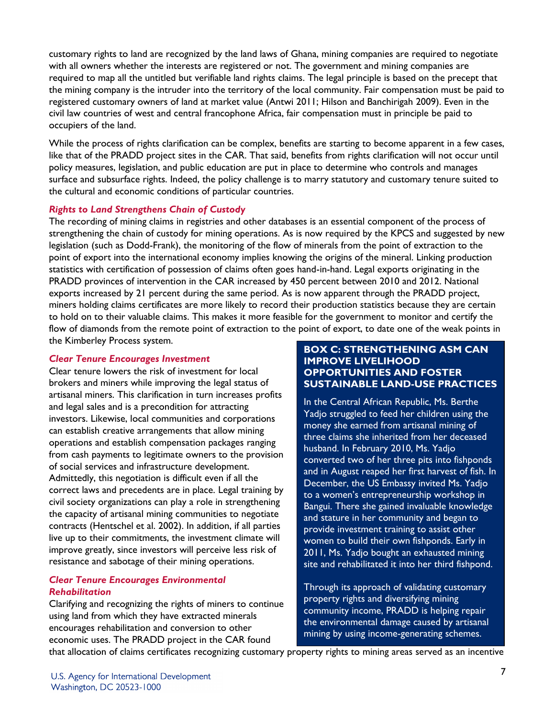customary rights to land are recognized by the land laws of Ghana, mining companies are required to negotiate with all owners whether the interests are registered or not. The government and mining companies are required to map all the untitled but verifiable land rights claims. The legal principle is based on the precept that the mining company is the intruder into the territory of the local community. Fair compensation must be paid to registered customary owners of land at market value (Antwi 2011; Hilson and Banchirigah 2009). Even in the civil law countries of west and central francophone Africa, fair compensation must in principle be paid to occupiers of the land.

While the process of rights clarification can be complex, benefits are starting to become apparent in a few cases, like that of the PRADD project sites in the CAR. That said, benefits from rights clarification will not occur until policy measures, legislation, and public education are put in place to determine who controls and manages surface and subsurface rights. Indeed, the policy challenge is to marry statutory and customary tenure suited to the cultural and economic conditions of particular countries.

## *Rights to Land Strengthens Chain of Custody*

The recording of mining claims in registries and other databases is an essential component of the process of strengthening the chain of custody for mining operations. As is now required by the KPCS and suggested by new legislation (such as Dodd-Frank), the monitoring of the flow of minerals from the point of extraction to the point of export into the international economy implies knowing the origins of the mineral. Linking production statistics with certification of possession of claims often goes hand-in-hand. Legal exports originating in the PRADD provinces of intervention in the CAR increased by 450 percent between 2010 and 2012. National exports increased by 21 percent during the same period. As is now apparent through the PRADD project, miners holding claims certificates are more likely to record their production statistics because they are certain to hold on to their valuable claims. This makes it more feasible for the government to monitor and certify the flow of diamonds from the remote point of extraction to the point of export, to date one of the weak points in the Kimberley Process system.

#### *Clear Tenure Encourages Investment*

Clear tenure lowers the risk of investment for local brokers and miners while improving the legal status of artisanal miners. This clarification in turn increases profits and legal sales and is a precondition for attracting investors. Likewise, local communities and corporations can establish creative arrangements that allow mining operations and establish compensation packages ranging from cash payments to legitimate owners to the provision of social services and infrastructure development. Admittedly, this negotiation is difficult even if all the correct laws and precedents are in place. Legal training by civil society organizations can play a role in strengthening the capacity of artisanal mining communities to negotiate contracts (Hentschel et al. 2002). In addition, if all parties live up to their commitments, the investment climate will improve greatly, since investors will perceive less risk of resistance and sabotage of their mining operations.

## *Clear Tenure Encourages Environmental Rehabilitation*

Clarifying and recognizing the rights of miners to continue using land from which they have extracted minerals encourages rehabilitation and conversion to other economic uses. The PRADD project in the CAR found

# **BOX C: STRENGTHENING ASM CAN IMPROVE LIVELIHOOD OPPORTUNITIES AND FOSTER SUSTAINABLE LAND-USE PRACTICES**

In the Central African Republic, Ms. Berthe Yadjo struggled to feed her children using the money she earned from artisanal mining of three claims she inherited from her deceased husband. In February 2010, Ms. Yadjo converted two of her three pits into fishponds and in August reaped her first harvest of fish. In December, the US Embassy invited Ms. Yadjo to a women's entrepreneurship workshop in Bangui. There she gained invaluable knowledge and stature in her community and began to provide investment training to assist other women to build their own fishponds. Early in 2011, Ms. Yadjo bought an exhausted mining site and rehabilitated it into her third fishpond.

Through its approach of validating customary property rights and diversifying mining community income, PRADD is helping repair the environmental damage caused by artisanal mining by using income-generating schemes.

that allocation of claims certificates recognizing customary property rights to mining areas served as an incentive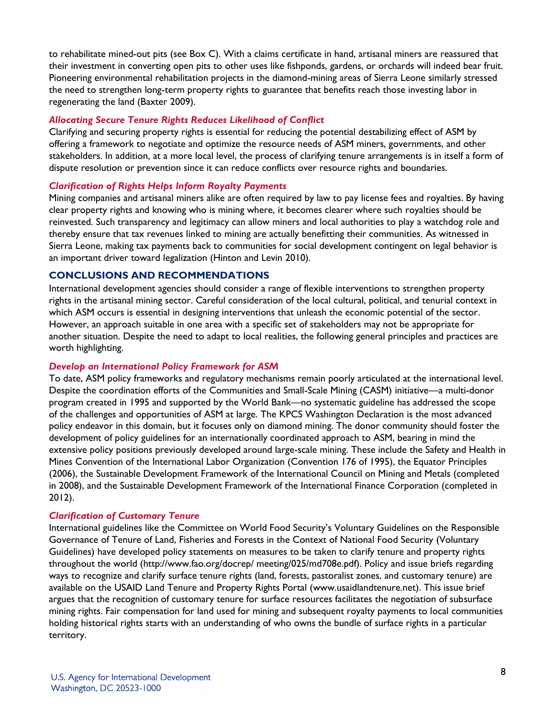to rehabilitate mined-out pits (see Box C). With a claims certificate in hand, artisanal miners are reassured that their investment in converting open pits to other uses like fishponds, gardens, or orchards will indeed bear fruit. Pioneering environmental rehabilitation projects in the diamond-mining areas of Sierra Leone similarly stressed the need to strengthen long-term property rights to guarantee that benefits reach those investing labor in regenerating the land (Baxter 2009).

#### *Allocating Secure Tenure Rights Reduces Likelihood of Conflict*

Clarifying and securing property rights is essential for reducing the potential destabilizing effect of ASM by offering a framework to negotiate and optimize the resource needs of ASM miners, governments, and other stakeholders. In addition, at a more local level, the process of clarifying tenure arrangements is in itself a form of dispute resolution or prevention since it can reduce conflicts over resource rights and boundaries.

## *Clarification of Rights Helps Inform Royalty Payments*

Mining companies and artisanal miners alike are often required by law to pay license fees and royalties. By having clear property rights and knowing who is mining where, it becomes clearer where such royalties should be reinvested. Such transparency and legitimacy can allow miners and local authorities to play a watchdog role and thereby ensure that tax revenues linked to mining are actually benefitting their communities. As witnessed in Sierra Leone, making tax payments back to communities for social development contingent on legal behavior is an important driver toward legalization (Hinton and Levin 2010).

## **CONCLUSIONS AND RECOMMENDATIONS**

International development agencies should consider a range of flexible interventions to strengthen property rights in the artisanal mining sector. Careful consideration of the local cultural, political, and tenurial context in which ASM occurs is essential in designing interventions that unleash the economic potential of the sector. However, an approach suitable in one area with a specific set of stakeholders may not be appropriate for another situation. Despite the need to adapt to local realities, the following general principles and practices are worth highlighting.

#### *Develop an International Policy Framework for ASM*

To date, ASM policy frameworks and regulatory mechanisms remain poorly articulated at the international level. Despite the coordination efforts of the Communities and Small-Scale Mining (CASM) initiative—a multi-donor program created in 1995 and supported by the World Bank—no systematic guideline has addressed the scope of the challenges and opportunities of ASM at large. The KPCS Washington Declaration is the most advanced policy endeavor in this domain, but it focuses only on diamond mining. The donor community should foster the development of policy guidelines for an internationally coordinated approach to ASM, bearing in mind the extensive policy positions previously developed around large-scale mining. These include the Safety and Health in Mines Convention of the International Labor Organization (Convention 176 of 1995), the Equator Principles (2006), the Sustainable Development Framework of the International Council on Mining and Metals (completed in 2008), and the Sustainable Development Framework of the International Finance Corporation (completed in 2012).

#### *Clarification of Customary Tenure*

International guidelines like the Committee on World Food Security's Voluntary Guidelines on the Responsible Governance of Tenure of Land, Fisheries and Forests in the Context of National Food Security (Voluntary Guidelines) have developed policy statements on measures to be taken to clarify tenure and property rights throughout the world [\(http://www.fao.org/docrep/](http://www.fao.org/docrep/) meeting/025/md708e.pdf). Policy and issue briefs regarding ways to recognize and clarify surface tenure rights (land, forests, pastoralist zones, and customary tenure) are available on the USAID Land Tenure and Property Rights Portal [\(www.usaidlandtenure.net\)](http://www.usaidlandtenure.net/). This issue brief argues that the recognition of customary tenure for surface resources facilitates the negotiation of subsurface mining rights. Fair compensation for land used for mining and subsequent royalty payments to local communities holding historical rights starts with an understanding of who owns the bundle of surface rights in a particular territory.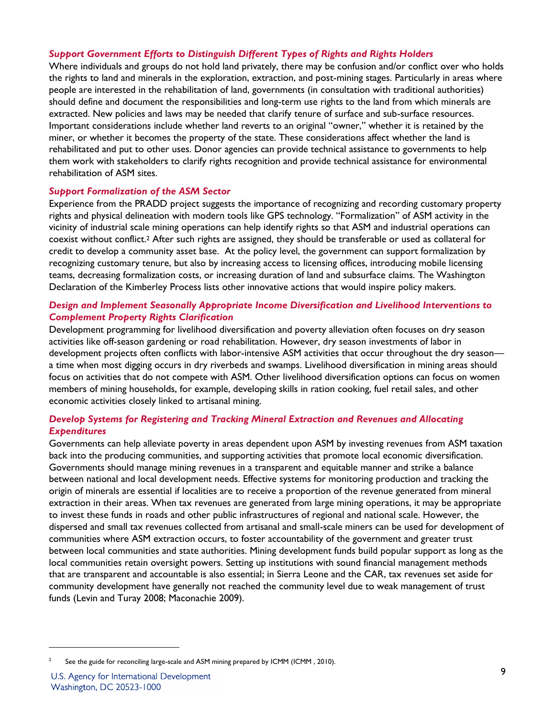## *Support Government Efforts to Distinguish Different Types of Rights and Rights Holders*

Where individuals and groups do not hold land privately, there may be confusion and/or conflict over who holds the rights to land and minerals in the exploration, extraction, and post-mining stages. Particularly in areas where people are interested in the rehabilitation of land, governments (in consultation with traditional authorities) should define and document the responsibilities and long-term use rights to the land from which minerals are extracted. New policies and laws may be needed that clarify tenure of surface and sub-surface resources. Important considerations include whether land reverts to an original "owner," whether it is retained by the miner, or whether it becomes the property of the state. These considerations affect whether the land is rehabilitated and put to other uses. Donor agencies can provide technical assistance to governments to help them work with stakeholders to clarify rights recognition and provide technical assistance for environmental rehabilitation of ASM sites.

## *Support Formalization of the ASM Sector*

Experience from the PRADD project suggests the importance of recognizing and recording customary property rights and physical delineation with modern tools like GPS technology. "Formalization" of ASM activity in the vicinity of industrial scale mining operations can help identify rights so that ASM and industrial operations can coexist without conflict.2 After such rights are assigned, they should be transferable or used as collateral for credit to develop a community asset base. At the policy level, the government can support formalization by recognizing customary tenure, but also by increasing access to licensing offices, introducing mobile licensing teams, decreasing formalization costs, or increasing duration of land and subsurface claims. The Washington Declaration of the Kimberley Process lists other innovative actions that would inspire policy makers.

# *Design and Implement Seasonally Appropriate Income Diversification and Livelihood Interventions to Complement Property Rights Clarification*

Development programming for livelihood diversification and poverty alleviation often focuses on dry season activities like off-season gardening or road rehabilitation. However, dry season investments of labor in development projects often conflicts with labor-intensive ASM activities that occur throughout the dry season a time when most digging occurs in dry riverbeds and swamps. Livelihood diversification in mining areas should focus on activities that do not compete with ASM. Other livelihood diversification options can focus on women members of mining households, for example, developing skills in ration cooking, fuel retail sales, and other economic activities closely linked to artisanal mining.

# *Develop Systems for Registering and Tracking Mineral Extraction and Revenues and Allocating Expenditures*

Governments can help alleviate poverty in areas dependent upon ASM by investing revenues from ASM taxation back into the producing communities, and supporting activities that promote local economic diversification. Governments should manage mining revenues in a transparent and equitable manner and strike a balance between national and local development needs. Effective systems for monitoring production and tracking the origin of minerals are essential if localities are to receive a proportion of the revenue generated from mineral extraction in their areas. When tax revenues are generated from large mining operations, it may be appropriate to invest these funds in roads and other public infrastructures of regional and national scale. However, the dispersed and small tax revenues collected from artisanal and small-scale miners can be used for development of communities where ASM extraction occurs, to foster accountability of the government and greater trust between local communities and state authorities. Mining development funds build popular support as long as the local communities retain oversight powers. Setting up institutions with sound financial management methods that are transparent and accountable is also essential; in Sierra Leone and the CAR, tax revenues set aside for community development have generally not reached the community level due to weak management of trust funds (Levin and Turay 2008; Maconachie 2009).

 $\overline{a}$ 

<sup>2</sup> See the guide for reconciling large-scale and ASM mining prepared by ICMM (ICMM , 2010).

U.S. Agency for International Development Washington, DC 20523-1000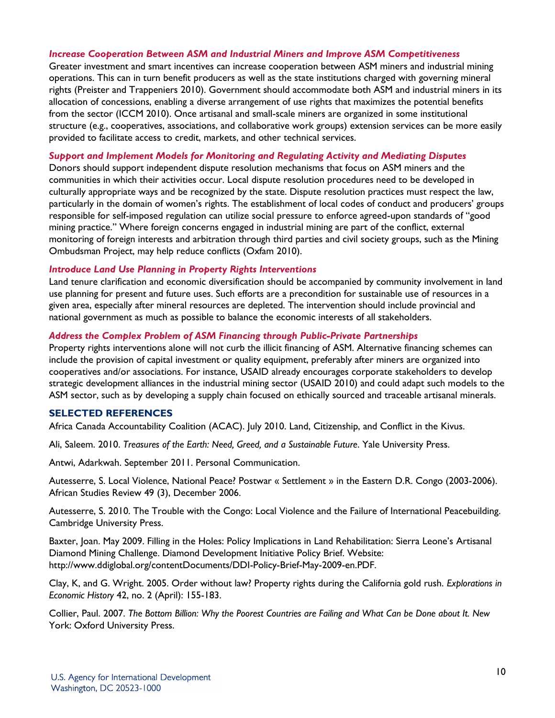#### *Increase Cooperation Between ASM and Industrial Miners and Improve ASM Competitiveness*

Greater investment and smart incentives can increase cooperation between ASM miners and industrial mining operations. This can in turn benefit producers as well as the state institutions charged with governing mineral rights (Preister and Trappeniers 2010). Government should accommodate both ASM and industrial miners in its allocation of concessions, enabling a diverse arrangement of use rights that maximizes the potential benefits from the sector (ICCM 2010). Once artisanal and small-scale miners are organized in some institutional structure (e.g., cooperatives, associations, and collaborative work groups) extension services can be more easily provided to facilitate access to credit, markets, and other technical services.

#### *Support and Implement Models for Monitoring and Regulating Activity and Mediating Disputes*

Donors should support independent dispute resolution mechanisms that focus on ASM miners and the communities in which their activities occur. Local dispute resolution procedures need to be developed in culturally appropriate ways and be recognized by the state. Dispute resolution practices must respect the law, particularly in the domain of women's rights. The establishment of local codes of conduct and producers' groups responsible for self-imposed regulation can utilize social pressure to enforce agreed-upon standards of "good mining practice." Where foreign concerns engaged in industrial mining are part of the conflict, external monitoring of foreign interests and arbitration through third parties and civil society groups, such as the Mining Ombudsman Project, may help reduce conflicts (Oxfam 2010).

#### *Introduce Land Use Planning in Property Rights Interventions*

Land tenure clarification and economic diversification should be accompanied by community involvement in land use planning for present and future uses. Such efforts are a precondition for sustainable use of resources in a given area, especially after mineral resources are depleted. The intervention should include provincial and national government as much as possible to balance the economic interests of all stakeholders.

#### *Address the Complex Problem of ASM Financing through Public-Private Partnerships*

Property rights interventions alone will not curb the illicit financing of ASM. Alternative financing schemes can include the provision of capital investment or quality equipment, preferably after miners are organized into cooperatives and/or associations. For instance, USAID already encourages corporate stakeholders to develop strategic development alliances in the industrial mining sector (USAID 2010) and could adapt such models to the ASM sector, such as by developing a supply chain focused on ethically sourced and traceable artisanal minerals.

#### **SELECTED REFERENCES**

Africa Canada Accountability Coalition (ACAC). July 2010. Land, Citizenship, and Conflict in the Kivus.

Ali, Saleem. 2010. *Treasures of the Earth: Need, Greed, and a Sustainable Future*. Yale University Press.

Antwi, Adarkwah. September 2011. Personal Communication.

Autesserre, S. Local Violence, National Peace? Postwar « Settlement » in the Eastern D.R. Congo (2003-2006). African Studies Review 49 (3), December 2006.

Autesserre, S. 2010. The Trouble with the Congo: Local Violence and the Failure of International Peacebuilding. Cambridge University Press.

Baxter, Joan. May 2009. Filling in the Holes: Policy Implications in Land Rehabilitation: Sierra Leone's Artisanal Diamond Mining Challenge. Diamond Development Initiative Policy Brief. Website: http://www.ddiglobal.org/contentDocuments/DDI-Policy-Brief-May-2009-en.PDF.

Clay, K, and G. Wright. 2005. Order without law? Property rights during the California gold rush. *Explorations in Economic History* 42, no. 2 (April): 155-183.

Collier, Paul. 2007. *The Bottom Billion: Why the Poorest Countries are Failing and What Can be Done about It. New*  York: Oxford University Press.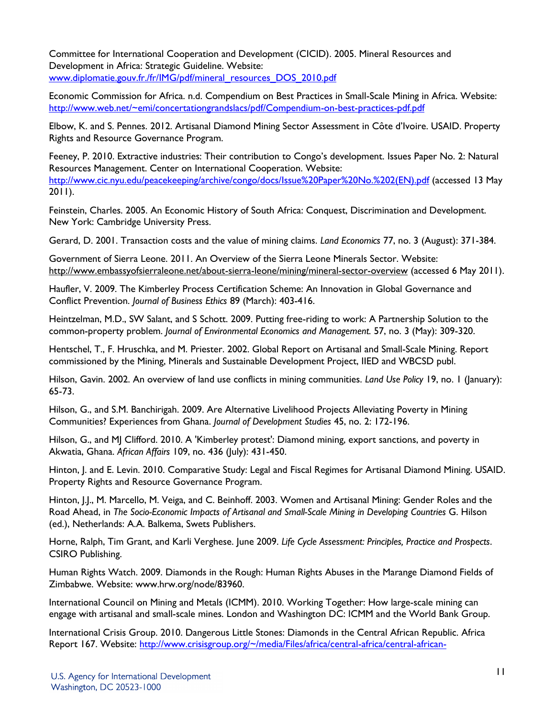Committee for International Cooperation and Development (CICID). 2005. Mineral Resources and Development in Africa: Strategic Guideline. Website: www.diplomatie.gouv.fr./fr/IMG/pdf/mineral\_resources\_DOS\_2010.pdf

Economic Commission for Africa. n.d. Compendium on Best Practices in Small-Scale Mining in Africa. Website: <http://www.web.net/~emi/concertationgrandslacs/pdf/Compendium-on-best-practices-pdf.pdf>

Elbow, K. and S. Pennes. 2012. Artisanal Diamond Mining Sector Assessment in Côte d'Ivoire. USAID. Property Rights and Resource Governance Program.

Feeney, P. 2010. Extractive industries: Their contribution to Congo's development. Issues Paper No. 2: Natural Resources Management. Center on International Cooperation. Website: [http://www.cic.nyu.edu/peacekeeping/archive/congo/docs/Issue%20Paper%20No.%202\(EN\).pdf](http://www.cic.nyu.edu/peacekeeping/archive/congo/docs/Issue%20Paper%20No.%202(EN).pdf) (accessed 13 May 2011).

Feinstein, Charles. 2005. An Economic History of South Africa: Conquest, Discrimination and Development. New York: Cambridge University Press.

Gerard, D. 2001. Transaction costs and the value of mining claims. *Land Economics* 77, no. 3 (August): 371-384.

Government of Sierra Leone. 2011. An Overview of the Sierra Leone Minerals Sector. Website: <http://www.embassyofsierraleone.net/about-sierra-leone/mining/mineral-sector-overview>(accessed 6 May 2011).

Haufler, V. 2009. The Kimberley Process Certification Scheme: An Innovation in Global Governance and Conflict Prevention. *Journal of Business Ethics* 89 (March): 403-416.

Heintzelman, M.D., SW Salant, and S Schott. 2009. Putting free-riding to work: A Partnership Solution to the common-property problem. *Journal of Environmental Economics and Management.* 57, no. 3 (May): 309-320.

Hentschel, T., F. Hruschka, and M. Priester. 2002. Global Report on Artisanal and Small-Scale Mining. Report commissioned by the Mining, Minerals and Sustainable Development Project, IIED and WBCSD publ.

Hilson, Gavin. 2002. An overview of land use conflicts in mining communities. *Land Use Policy* 19, no. 1 (January): 65-73.

Hilson, G., and S.M. Banchirigah. 2009. Are Alternative Livelihood Projects Alleviating Poverty in Mining Communities? Experiences from Ghana. *Journal of Development Studies* 45, no. 2: 172-196.

Hilson, G., and MJ Clifford. 2010. A 'Kimberley protest': Diamond mining, export sanctions, and poverty in Akwatia, Ghana. *African Affairs* 109, no. 436 (July): 431-450.

Hinton, J. and E. Levin. 2010. Comparative Study: Legal and Fiscal Regimes for Artisanal Diamond Mining. USAID. Property Rights and Resource Governance Program.

Hinton, J.J., M. Marcello, M. Veiga, and C. Beinhoff. 2003. Women and Artisanal Mining: Gender Roles and the Road Ahead, in *The Socio-Economic Impacts of Artisanal and Small-Scale Mining in Developing Countries* G. Hilson (ed.), Netherlands: A.A. Balkema, Swets Publishers.

Horne, Ralph, Tim Grant, and Karli Verghese. June 2009. *Life Cycle Assessment: Principles, Practice and Prospects*. CSIRO Publishing.

Human Rights Watch. 2009. Diamonds in the Rough: Human Rights Abuses in the Marange Diamond Fields of Zimbabwe. Website: www.hrw.org/node/83960.

International Council on Mining and Metals (ICMM). 2010. Working Together: How large-scale mining can engage with artisanal and small-scale mines. London and Washington DC: ICMM and the World Bank Group.

International Crisis Group. 2010. Dangerous Little Stones: Diamonds in the Central African Republic. Africa Report 167. Website: [http://www.crisisgroup.org/~/media/Files/africa/central-africa/central-african-](http://www.crisisgroup.org/~/media/Files/africa/central-africa/central-african-republic/167%20Dangerous%20Little%20Stones%20-%20Diamonds%20in%20the%20Central%20African%20Republic.pdf)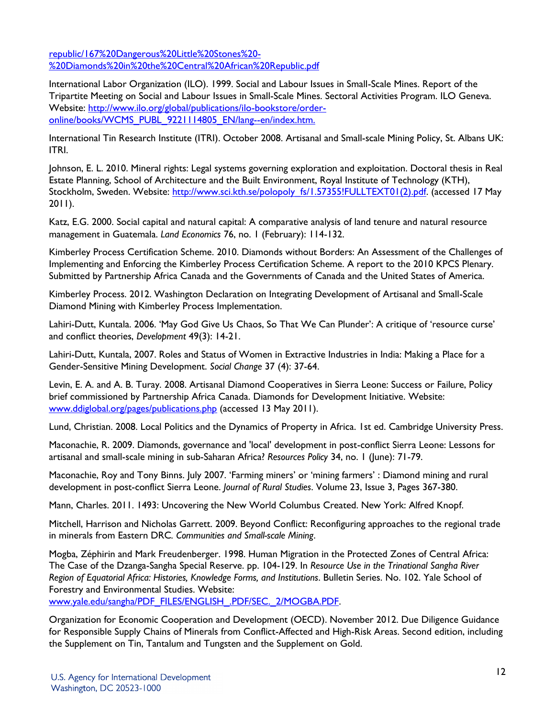[republic/167%20Dangerous%20Little%20Stones%20-](http://www.crisisgroup.org/~/media/Files/africa/central-africa/central-african-republic/167%20Dangerous%20Little%20Stones%20-%20Diamonds%20in%20the%20Central%20African%20Republic.pdf) [%20Diamonds%20in%20the%20Central%20African%20Republic.pdf](http://www.crisisgroup.org/~/media/Files/africa/central-africa/central-african-republic/167%20Dangerous%20Little%20Stones%20-%20Diamonds%20in%20the%20Central%20African%20Republic.pdf)

International Labor Organization (ILO). 1999. Social and Labour Issues in Small-Scale Mines. Report of the Tripartite Meeting on Social and Labour Issues in Small-Scale Mines. Sectoral Activities Program. ILO Geneva. Website: [http://www.ilo.org/global/publications/ilo-bookstore/order](http://www.ilo.org/global/publications/ilo-bookstore/order-online/books/WCMS_PUBL_9221114805_EN/lang--en/index.htm)[online/books/WCMS\\_PUBL\\_9221114805\\_EN/lang--en/index.htm.](http://www.ilo.org/global/publications/ilo-bookstore/order-online/books/WCMS_PUBL_9221114805_EN/lang--en/index.htm)

International Tin Research Institute (ITRI). October 2008. Artisanal and Small-scale Mining Policy, St. Albans UK: ITRI.

Johnson, E. L. 2010. Mineral rights: Legal systems governing exploration and exploitation. Doctoral thesis in Real Estate Planning, School of Architecture and the Built Environment, Royal Institute of Technology (KTH), Stockholm, Sweden. Website: [http://www.sci.kth.se/polopoly\\_fs/1.57355!FULLTEXT01\(2\).pdf.](http://www.sci.kth.se/polopoly_fs/1.57355!FULLTEXT01(2).pdf) (accessed 17 May 2011).

Katz, E.G. 2000. Social capital and natural capital: A comparative analysis of land tenure and natural resource management in Guatemala. *Land Economics* 76, no. 1 (February): 114-132.

Kimberley Process Certification Scheme. 2010. Diamonds without Borders: An Assessment of the Challenges of Implementing and Enforcing the Kimberley Process Certification Scheme. A report to the 2010 KPCS Plenary. Submitted by Partnership Africa Canada and the Governments of Canada and the United States of America.

Kimberley Process. 2012. Washington Declaration on Integrating Development of Artisanal and Small-Scale Diamond Mining with Kimberley Process Implementation.

Lahiri-Dutt, Kuntala. 2006. 'May God Give Us Chaos, So That We Can Plunder': A critique of 'resource curse' and conflict theories, *Development* 49(3): 14-21.

Lahiri-Dutt, Kuntala, 2007. Roles and Status of Women in Extractive Industries in India: Making a Place for a Gender-Sensitive Mining Development. *Social Change* 37 (4): 37-64.

Levin, E. A. and A. B. Turay. 2008. Artisanal Diamond Cooperatives in Sierra Leone: Success or Failure, Policy brief commissioned by Partnership Africa Canada. Diamonds for Development Initiative. Website: [www.ddiglobal.org/pages/publications.php](http://www.ddiglobal.org/pages/publications.php) (accessed 13 May 2011).

Lund, Christian. 2008. Local Politics and the Dynamics of Property in Africa. 1st ed. Cambridge University Press.

Maconachie, R. 2009. Diamonds, governance and 'local' development in post-conflict Sierra Leone: Lessons for artisanal and small-scale mining in sub-Saharan Africa? *Resources Policy* 34, no. 1 (June): 71-79.

Maconachie, Roy and Tony Binns. July 2007. 'Farming miners' or 'mining farmers' : Diamond mining and rural development in post-conflict Sierra Leone. *Journal of Rural Studies*. Volume 23, Issue 3, Pages 367-380.

Mann, Charles. 2011. 1493: Uncovering the New World Columbus Created. New York: Alfred Knopf.

Mitchell, Harrison and Nicholas Garrett. 2009. Beyond Conflict: Reconfiguring approaches to the regional trade in minerals from Eastern DRC*. Communities and Small-scale Mining*.

Mogba, Zéphirin and Mark Freudenberger. 1998. Human Migration in the Protected Zones of Central Africa: The Case of the Dzanga-Sangha Special Reserve. pp. 104-129. In *Resource Use in the Trinational Sangha River Region of Equatorial Africa: Histories, Knowledge Forms, and Institutions*. Bulletin Series. No. 102. Yale School of Forestry and Environmental Studies. Website:

[www.yale.edu/sangha/PDF\\_FILES/ENGLISH\\_.PDF/SEC.\\_2/MOGBA.PDF.](http://www.yale.edu/sangha/PDF_FILES/ENGLISH_.PDF/SEC._2/MOGBA.PDF)

Organization for Economic Cooperation and Development (OECD). November 2012. Due Diligence Guidance for Responsible Supply Chains of Minerals from Conflict-Affected and High-Risk Areas. Second edition, including the Supplement on Tin, Tantalum and Tungsten and the Supplement on Gold.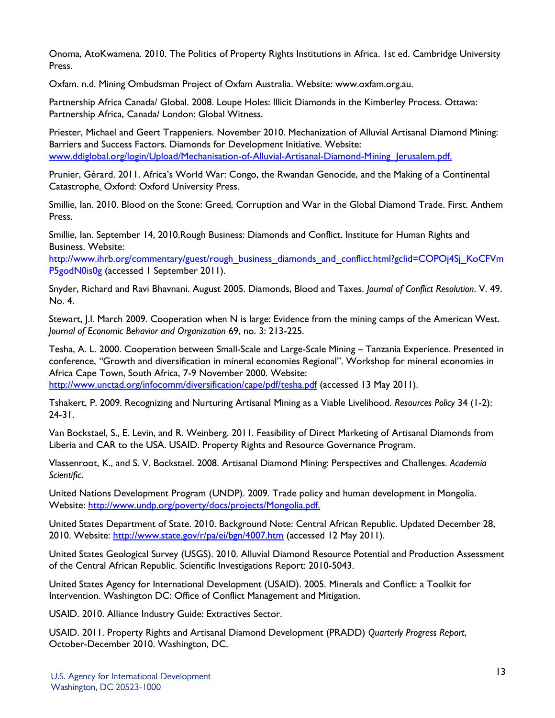Onoma, AtoKwamena. 2010. The Politics of Property Rights Institutions in Africa. 1st ed. Cambridge University Press.

Oxfam. n.d. Mining Ombudsman Project of Oxfam Australia. Website: www.oxfam.org.au.

Partnership Africa Canada/ Global. 2008. Loupe Holes: Illicit Diamonds in the Kimberley Process. Ottawa: Partnership Africa, Canada/ London: Global Witness.

Priester, Michael and Geert Trappeniers. November 2010. Mechanization of Alluvial Artisanal Diamond Mining: Barriers and Success Factors. Diamonds for Development Initiative. Website: www.ddiglobal.org/login/Upload/Mechanisation-of-Alluvial-Artisanal-Diamond-Mining Jerusalem.pdf.

Prunier, Gérard. 2011. Africa's World War: Congo, the Rwandan Genocide, and the Making of a Continental Catastrophe*.* Oxford: Oxford University Press.

Smillie, Ian. 2010. Blood on the Stone: Greed, Corruption and War in the Global Diamond Trade. First. Anthem Press.

Smillie, Ian. September 14, 2010.Rough Business: Diamonds and Conflict. Institute for Human Rights and Business. Website:

[http://www.ihrb.org/commentary/guest/rough\\_business\\_diamonds\\_and\\_conflict.html?gclid=COPOj4Sj\\_KoCFVm](http://www.ihrb.org/commentary/guest/rough_business_diamonds_and_conflict.html?gclid=COPOj4Sj_KoCFVmP5godN0is0g) [P5godN0is0g](http://www.ihrb.org/commentary/guest/rough_business_diamonds_and_conflict.html?gclid=COPOj4Sj_KoCFVmP5godN0is0g) (accessed 1 September 2011).

Snyder, Richard and Ravi Bhavnani. August 2005. Diamonds, Blood and Taxes. *Journal of Conflict Resolution*. V. 49. No. 4.

Stewart, J.I. March 2009. Cooperation when N is large: Evidence from the mining camps of the American West. *Journal of Economic Behavior and Organization* 69, no. 3: 213-225.

Tesha, A. L. 2000. Cooperation between Small-Scale and Large-Scale Mining – Tanzania Experience. Presented in conference, *"*Growth and diversification in mineral economies Regional". Workshop for mineral economies in Africa Cape Town, South Africa, 7-9 November 2000. Website:

<http://www.unctad.org/infocomm/diversification/cape/pdf/tesha.pdf>(accessed 13 May 2011).

Tshakert, P. 2009. Recognizing and Nurturing Artisanal Mining as a Viable Livelihood. *Resources Policy* 34 (1-2): 24-31.

Van Bockstael, S., E. Levin, and R. Weinberg. 2011. Feasibility of Direct Marketing of Artisanal Diamonds from Liberia and CAR to the USA. USAID. Property Rights and Resource Governance Program.

Vlassenroot, K., and S. V. Bockstael. 2008. Artisanal Diamond Mining: Perspectives and Challenges. *Academia Scientific*.

United Nations Development Program (UNDP). 2009. Trade policy and human development in Mongolia. Website: [http://www.undp.org/poverty/docs/projects/Mongolia.pdf.](http://www.undp.org/poverty/docs/projects/Mongolia.pdf)

United States Department of State. 2010. Background Note: Central African Republic. Updated December 28, 2010. Website:<http://www.state.gov/r/pa/ei/bgn/4007.htm>(accessed 12 May 2011).

United States Geological Survey (USGS). 2010. Alluvial Diamond Resource Potential and Production Assessment of the Central African Republic. Scientific Investigations Report: 2010-5043.

United States Agency for International Development (USAID). 2005. Minerals and Conflict: a Toolkit for Intervention. Washington DC: Office of Conflict Management and Mitigation.

USAID. 2010. Alliance Industry Guide: Extractives Sector.

USAID. 2011. Property Rights and Artisanal Diamond Development (PRADD) *Quarterly Progress Report*, October-December 2010. Washington, DC.